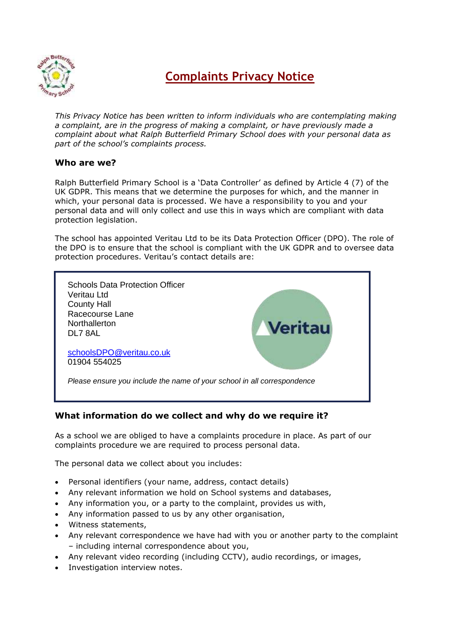

# **Complaints Privacy Notice**

*This Privacy Notice has been written to inform individuals who are contemplating making a complaint, are in the progress of making a complaint, or have previously made a complaint about what Ralph Butterfield Primary School does with your personal data as part of the school's complaints process.*

#### **Who are we?**

Ralph Butterfield Primary School is a 'Data Controller' as defined by Article 4 (7) of the UK GDPR. This means that we determine the purposes for which, and the manner in which, your personal data is processed. We have a responsibility to you and your personal data and will only collect and use this in ways which are compliant with data protection legislation.

The school has appointed Veritau Ltd to be its Data Protection Officer (DPO). The role of the DPO is to ensure that the school is compliant with the UK GDPR and to oversee data protection procedures. Veritau's contact details are:



#### **What information do we collect and why do we require it?**

As a school we are obliged to have a complaints procedure in place. As part of our complaints procedure we are required to process personal data.

The personal data we collect about you includes:

- Personal identifiers (your name, address, contact details)
- Any relevant information we hold on School systems and databases,
- Any information you, or a party to the complaint, provides us with,
- Any information passed to us by any other organisation,
- Witness statements,
- Any relevant correspondence we have had with you or another party to the complaint – including internal correspondence about you,
- Any relevant video recording (including CCTV), audio recordings, or images,
- Investigation interview notes.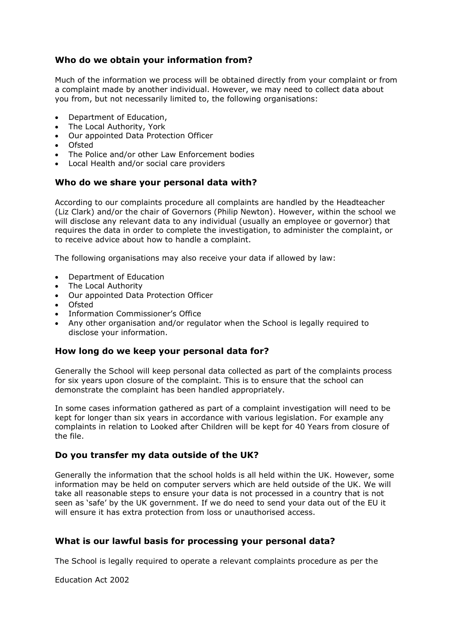## **Who do we obtain your information from?**

Much of the information we process will be obtained directly from your complaint or from a complaint made by another individual. However, we may need to collect data about you from, but not necessarily limited to, the following organisations:

- Department of Education,
- The Local Authority, York
- Our appointed Data Protection Officer
- Ofsted
- The Police and/or other Law Enforcement bodies
- Local Health and/or social care providers

#### **Who do we share your personal data with?**

According to our complaints procedure all complaints are handled by the Headteacher (Liz Clark) and/or the chair of Governors (Philip Newton). However, within the school we will disclose any relevant data to any individual (usually an employee or governor) that requires the data in order to complete the investigation, to administer the complaint, or to receive advice about how to handle a complaint.

The following organisations may also receive your data if allowed by law:

- Department of Education
- The Local Authority
- Our appointed Data Protection Officer
- Ofsted
- Information Commissioner's Office
- Any other organisation and/or regulator when the School is legally required to disclose your information.

#### **How long do we keep your personal data for?**

Generally the School will keep personal data collected as part of the complaints process for six years upon closure of the complaint. This is to ensure that the school can demonstrate the complaint has been handled appropriately.

In some cases information gathered as part of a complaint investigation will need to be kept for longer than six years in accordance with various legislation. For example any complaints in relation to Looked after Children will be kept for 40 Years from closure of the file.

#### **Do you transfer my data outside of the UK?**

Generally the information that the school holds is all held within the UK. However, some information may be held on computer servers which are held outside of the UK. We will take all reasonable steps to ensure your data is not processed in a country that is not seen as 'safe' by the UK government. If we do need to send your data out of the EU it will ensure it has extra protection from loss or unauthorised access.

#### **What is our lawful basis for processing your personal data?**

The School is legally required to operate a relevant complaints procedure as per the

Education Act 2002